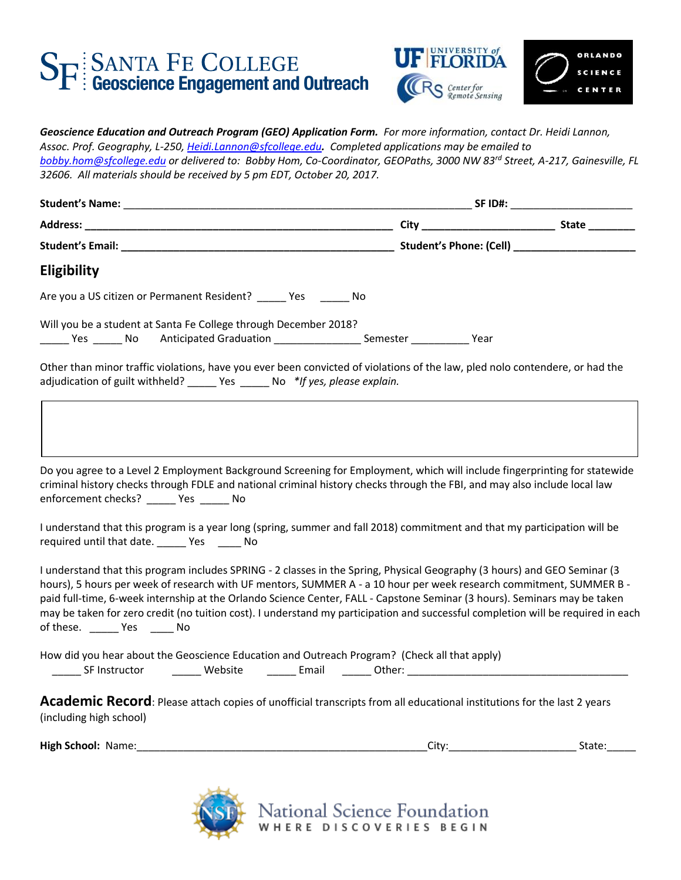## SF SANTA FE COLLEGE<br>Geoscience Engagement and Outreach



| Eligibility                                                                                                                                                                                                                                                                                                                                                                                                                                                                                                                                            |       |        |
|--------------------------------------------------------------------------------------------------------------------------------------------------------------------------------------------------------------------------------------------------------------------------------------------------------------------------------------------------------------------------------------------------------------------------------------------------------------------------------------------------------------------------------------------------------|-------|--------|
| Are you a US citizen or Permanent Resident? _____ Yes ______ No                                                                                                                                                                                                                                                                                                                                                                                                                                                                                        |       |        |
| Will you be a student at Santa Fe College through December 2018?                                                                                                                                                                                                                                                                                                                                                                                                                                                                                       |       |        |
| Other than minor traffic violations, have you ever been convicted of violations of the law, pled nolo contendere, or had the<br>adjudication of guilt withheld? _____ Yes ______ No *If yes, please explain.                                                                                                                                                                                                                                                                                                                                           |       |        |
| Do you agree to a Level 2 Employment Background Screening for Employment, which will include fingerprinting for statewide<br>criminal history checks through FDLE and national criminal history checks through the FBI, and may also include local law<br>enforcement checks? ______ Yes ______ No                                                                                                                                                                                                                                                     |       |        |
| I understand that this program is a year long (spring, summer and fall 2018) commitment and that my participation will be<br>required until that date. ______ Yes _____ No                                                                                                                                                                                                                                                                                                                                                                             |       |        |
| I understand that this program includes SPRING - 2 classes in the Spring, Physical Geography (3 hours) and GEO Seminar (3<br>hours), 5 hours per week of research with UF mentors, SUMMER A - a 10 hour per week research commitment, SUMMER B -<br>paid full-time, 6-week internship at the Orlando Science Center, FALL - Capstone Seminar (3 hours). Seminars may be taken<br>may be taken for zero credit (no tuition cost). I understand my participation and successful completion will be required in each<br>of these. ________ Yes _______ No |       |        |
| How did you hear about the Geoscience Education and Outreach Program? (Check all that apply)<br><b>SF Instructor</b><br>_______ Website   _______ Email   ______ Other: ________________________________                                                                                                                                                                                                                                                                                                                                               |       |        |
| Academic Record: Please attach copies of unofficial transcripts from all educational institutions for the last 2 years<br>(including high school)<br>High School: Name:                                                                                                                                                                                                                                                                                                                                                                                | City: | State: |



National Science Foundation<br>WHERE DISCOVERIES BEGIN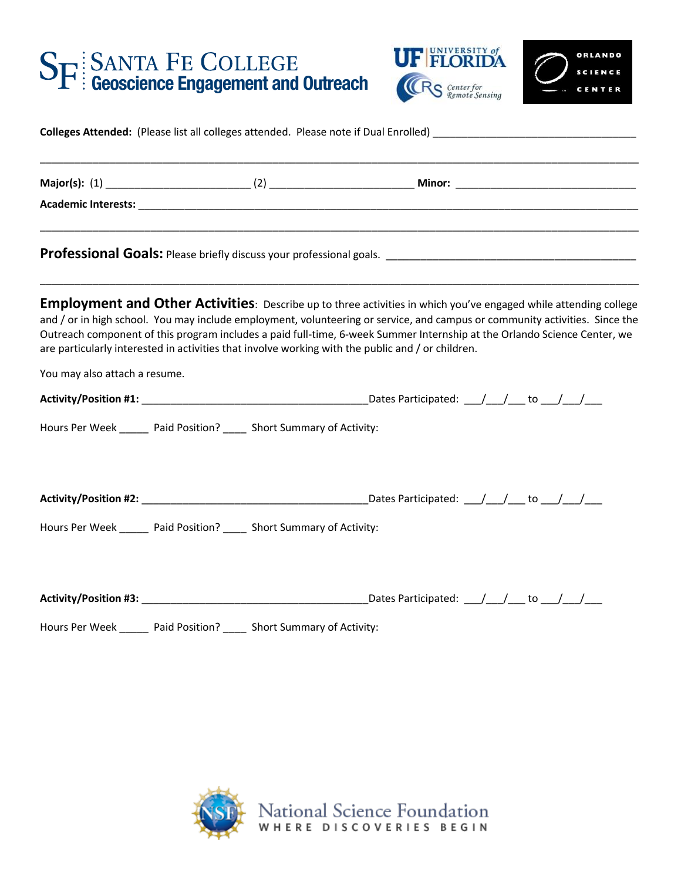## SE SANTA FE COLLEGE<br>Geoscience Engagement and Outreach





| Colleges Attended: (Please list all colleges attended. Please note if Dual Enrolled) |  |
|--------------------------------------------------------------------------------------|--|
|                                                                                      |  |

| <b>Employment and Other Activities</b> : Describe up to three activities in which you've engaged while attending college<br>and / or in high school. You may include employment, volunteering or service, and campus or community activities. Since the<br>Outreach component of this program includes a paid full-time, 6-week Summer Internship at the Orlando Science Center, we<br>are particularly interested in activities that involve working with the public and / or children. |  |                                                                       |                                                                                          |  |  |                               |
|------------------------------------------------------------------------------------------------------------------------------------------------------------------------------------------------------------------------------------------------------------------------------------------------------------------------------------------------------------------------------------------------------------------------------------------------------------------------------------------|--|-----------------------------------------------------------------------|------------------------------------------------------------------------------------------|--|--|-------------------------------|
|                                                                                                                                                                                                                                                                                                                                                                                                                                                                                          |  |                                                                       |                                                                                          |  |  | You may also attach a resume. |
|                                                                                                                                                                                                                                                                                                                                                                                                                                                                                          |  |                                                                       |                                                                                          |  |  |                               |
|                                                                                                                                                                                                                                                                                                                                                                                                                                                                                          |  | Hours Per Week ______ Paid Position? _____ Short Summary of Activity: |                                                                                          |  |  |                               |
|                                                                                                                                                                                                                                                                                                                                                                                                                                                                                          |  |                                                                       |                                                                                          |  |  |                               |
|                                                                                                                                                                                                                                                                                                                                                                                                                                                                                          |  | Hours Per Week ______ Paid Position? _____ Short Summary of Activity: |                                                                                          |  |  |                               |
|                                                                                                                                                                                                                                                                                                                                                                                                                                                                                          |  |                                                                       | Dates Participated: $\frac{1}{\sqrt{1-\frac{1}{2}}}$ to $\frac{1}{\sqrt{1-\frac{1}{2}}}$ |  |  |                               |
|                                                                                                                                                                                                                                                                                                                                                                                                                                                                                          |  | Hours Per Week ______ Paid Position? _____ Short Summary of Activity: |                                                                                          |  |  |                               |